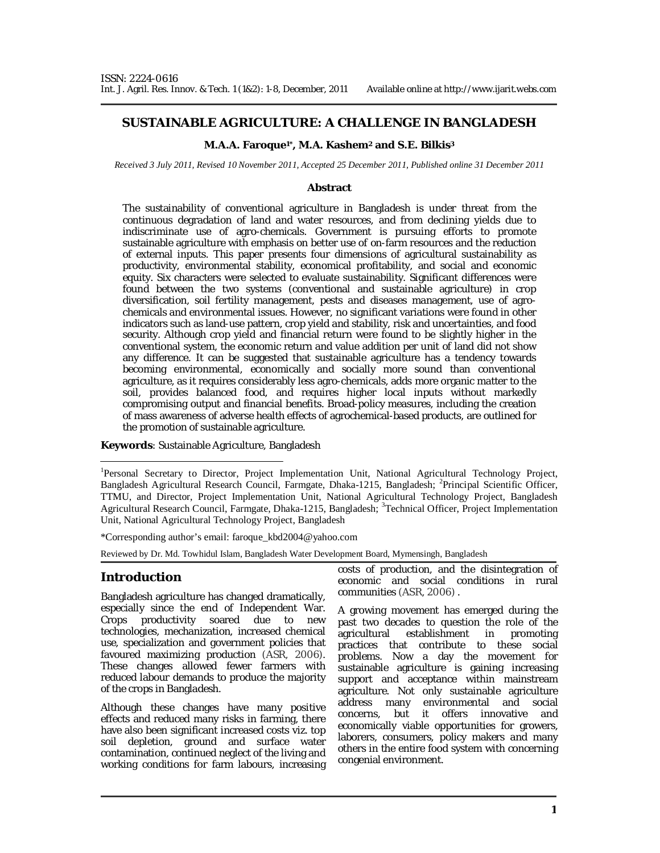# **SUSTAINABLE AGRICULTURE: A CHALLENGE IN BANGLADESH**

## **M.A.A. Faroque1\*, M.A. Kashem2 and S.E. Bilkis<sup>3</sup>**

*Received 3 July 2011, Revised 10 November 2011, Accepted 25 December 2011, Published online 31 December 2011* 

#### **Abstract**

The sustainability of conventional agriculture in Bangladesh is under threat from the continuous degradation of land and water resources, and from declining yields due to indiscriminate use of agro-chemicals. Government is pursuing efforts to promote sustainable agriculture with emphasis on better use of on-farm resources and the reduction of external inputs. This paper presents four dimensions of agricultural sustainability as productivity, environmental stability, economical profitability, and social and economic equity. Six characters were selected to evaluate sustainability. Significant differences were found between the two systems (conventional and sustainable agriculture) in crop diversification, soil fertility management, pests and diseases management, use of agrochemicals and environmental issues. However, no significant variations were found in other indicators such as land-use pattern, crop yield and stability, risk and uncertainties, and food security. Although crop yield and financial return were found to be slightly higher in the conventional system, the economic return and value addition per unit of land did not show any difference. It can be suggested that sustainable agriculture has a tendency towards becoming environmental, economically and socially more sound than conventional agriculture, as it requires considerably less agro-chemicals, adds more organic matter to the soil, provides balanced food, and requires higher local inputs without markedly compromising output and financial benefits. Broad-policy measures, including the creation of mass awareness of adverse health effects of agrochemical-based products, are outlined for the promotion of sustainable agriculture.

**Keywords**: Sustainable Agriculture, Bangladesh

<sup>1</sup>Personal Secretary to Director, Project Implementation Unit, National Agricultural Technology Project, Bangladesh Agricultural Research Council, Farmgate, Dhaka-1215, Bangladesh; <sup>2</sup>Principal Scientific Officer, TTMU, and Director, Project Implementation Unit, National Agricultural Technology Project, Bangladesh Agricultural Research Council, Farmgate, Dhaka-1215, Bangladesh; <sup>3</sup>Technical Officer, Project Implementation Unit, National Agricultural Technology Project, Bangladesh

\*Corresponding author's email: faroque\_kbd2004@yahoo.com

Reviewed by Dr. Md. Towhidul Islam, Bangladesh Water Development Board, Mymensingh, Bangladesh

# **Introduction**

Bangladesh agriculture has changed dramatically, especially since the end of Independent War. Crops productivity soared due to new technologies, mechanization, increased chemical use, specialization and government policies that favoured maximizing production (ASR, 2006). These changes allowed fewer farmers with reduced labour demands to produce the majority of the crops in Bangladesh.

Although these changes have many positive effects and reduced many risks in farming, there have also been significant increased costs viz. top soil depletion, ground and surface water contamination, continued neglect of the living and working conditions for farm labours, increasing

costs of production, and the disintegration of economic and social conditions in rural communities (ASR, 2006) .

A growing movement has emerged during the past two decades to question the role of the agricultural establishment in promoting practices that contribute to these social problems. Now a day the movement for sustainable agriculture is gaining increasing support and acceptance within mainstream agriculture. Not only sustainable agriculture address many environmental and social concerns, but it offers innovative and economically viable opportunities for growers, laborers, consumers, policy makers and many others in the entire food system with concerning congenial environment.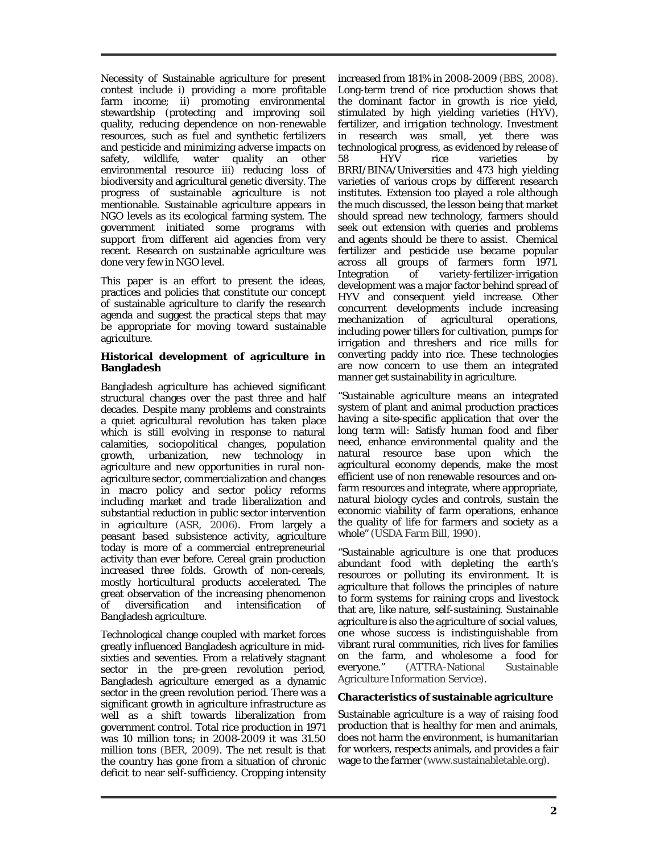Necessity of Sustainable agriculture for present contest include i) providing a more profitable farm income; ii) promoting environmental stewardship (protecting and improving soil quality, reducing dependence on non-renewable resources, such as fuel and synthetic fertilizers and pesticide and minimizing adverse impacts on safety, wildlife, water quality an other environmental resource iii) reducing loss of biodiversity and agricultural genetic diversity. The progress of sustainable agriculture is not mentionable. Sustainable agriculture appears in NGO levels as its ecological farming system. The government initiated some programs with support from different aid agencies from very recent. Research on sustainable agriculture was done very few in NGO level.

This paper is an effort to present the ideas, practices and policies that constitute our concept of sustainable agriculture to clarify the research agenda and suggest the practical steps that may be appropriate for moving toward sustainable agriculture.

#### **Historical development of agriculture in Bangladesh**

Bangladesh agriculture has achieved significant structural changes over the past three and half decades. Despite many problems and constraints a quiet agricultural revolution has taken place which is still evolving in response to natural calamities, sociopolitical changes, population growth, urbanization, new technology in agriculture and new opportunities in rural nonagriculture sector, commercialization and changes in macro policy and sector policy reforms including market and trade liberalization and substantial reduction in public sector intervention in agriculture (ASR, 2006). From largely a peasant based subsistence activity, agriculture today is more of a commercial entrepreneurial activity than ever before. Cereal grain production increased three folds. Growth of non-cereals, mostly horticultural products accelerated. The great observation of the increasing phenomenon of diversification and intensification of Bangladesh agriculture.

Technological change coupled with market forces greatly influenced Bangladesh agriculture in midsixties and seventies. From a relatively stagnant sector in the pre-green revolution period, Bangladesh agriculture emerged as a dynamic sector in the green revolution period. There was a significant growth in agriculture infrastructure as well as a shift towards liberalization from government control. Total rice production in 1971 was 10 million tons; in 2008-2009 it was 31.50 million tons (BER, 2009). The net result is that the country has gone from a situation of chronic deficit to near self-sufficiency. Cropping intensity

increased from 181% in 2008-2009 (BBS, 2008). Long-term trend of rice production shows that the dominant factor in growth is rice yield, stimulated by high yielding varieties (HYV), fertilizer, and irrigation technology. Investment in research was small, yet there was technological progress, as evidenced by release of 58 HYV rice varieties by BRRI/BINA/Universities and 473 high yielding varieties of various crops by different research institutes. Extension too played a role although the much discussed, the lesson being that market should spread new technology, farmers should seek out extension with queries and problems and agents should be there to assist. Chemical fertilizer and pesticide use became popular across all groups of farmers form 1971. Integration of variety-fertilizer-irrigation development was a major factor behind spread of HYV and consequent yield increase. Other concurrent developments include increasing mechanization of agricultural operations, including power tillers for cultivation, pumps for irrigation and threshers and rice mills for converting paddy into rice. These technologies are now concern to use them an integrated manner get sustainability in agriculture.

"Sustainable agriculture means an integrated system of plant and animal production practices having a site-specific application that over the long term will: Satisfy human food and fiber need, enhance environmental quality and the natural resource base upon which the agricultural economy depends, make the most efficient use of non renewable resources and onfarm resources and integrate, where appropriate, natural biology cycles and controls, sustain the economic viability of farm operations, enhance the quality of life for farmers and society as a whole" (USDA Farm Bill, 1990).

"Sustainable agriculture is one that produces abundant food with depleting the earth's resources or polluting its environment. It is agriculture that follows the principles of nature to form systems for raining crops and livestock that are, like nature, self-sustaining. Sustainable agriculture is also the agriculture of social values, one whose success is indistinguishable from vibrant rural communities, rich lives for families on the farm, and wholesome a food for everyone." (ATTRA-National Sustainable Agriculture Information Service).

## **Characteristics of sustainable agriculture**

Sustainable agriculture is a way of raising food production that is healthy for men and animals, does not harm the environment, is humanitarian for workers, respects animals, and provides a fair wage to the farmer (www.sustainabletable.org).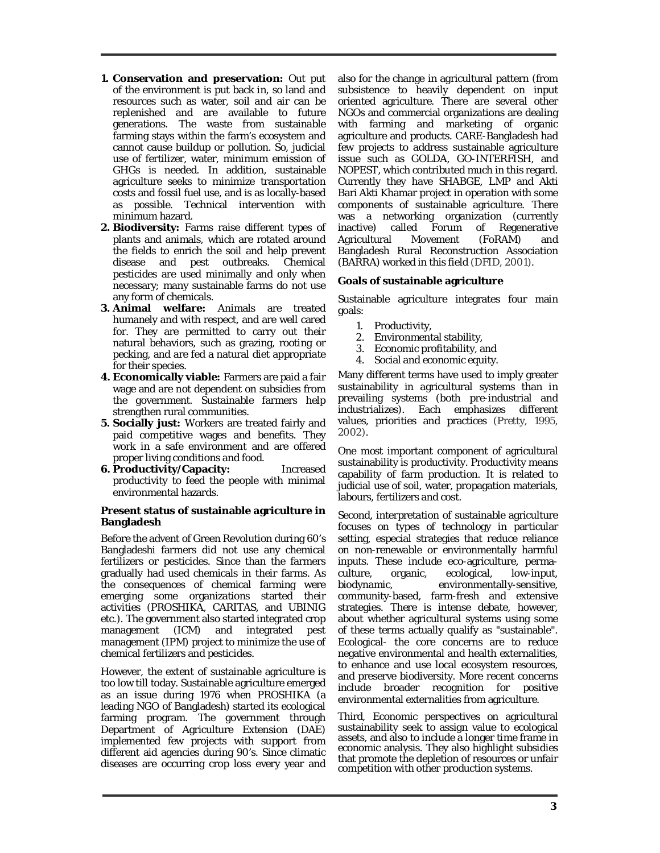- **1. Conservation and preservation:** Out put of the environment is put back in, so land and resources such as water, soil and air can be replenished and are available to future generations. The waste from sustainable farming stays within the farm's ecosystem and cannot cause buildup or pollution. So, judicial use of fertilizer, water, minimum emission of GHGs is needed. In addition, sustainable agriculture seeks to minimize transportation costs and fossil fuel use, and is as locally-based as possible. Technical intervention with minimum hazard.
- **2. Biodiversity:** Farms raise different types of plants and animals, which are rotated around the fields to enrich the soil and help prevent disease and pest outbreaks. Chemical pesticides are used minimally and only when necessary; many sustainable farms do not use any form of chemicals.
- **3. Animal welfare:** Animals are treated humanely and with respect, and are well cared for. They are permitted to carry out their natural behaviors, such as grazing, rooting or pecking, and are fed a natural diet appropriate for their species.
- **4. Economically viable:** Farmers are paid a fair wage and are not dependent on subsidies from the government. Sustainable farmers help strengthen rural communities.
- **5. Socially just:** Workers are treated fairly and paid competitive wages and benefits. They work in a safe environment and are offered proper living conditions and food.
- **6. Productivity/Capacity:** Increased productivity to feed the people with minimal environmental hazards.

#### **Present status of sustainable agriculture in Bangladesh**

Before the advent of Green Revolution during 60's Bangladeshi farmers did not use any chemical fertilizers or pesticides. Since than the farmers gradually had used chemicals in their farms. As the consequences of chemical farming were emerging some organizations started their activities (PROSHIKA, CARITAS, and UBINIG etc.). The government also started integrated crop management (ICM) and integrated pest management (IPM) project to minimize the use of chemical fertilizers and pesticides.

However, the extent of sustainable agriculture is too low till today. Sustainable agriculture emerged as an issue during 1976 when PROSHIKA (a leading NGO of Bangladesh) started its ecological farming program. The government through Department of Agriculture Extension (DAE) implemented few projects with support from different aid agencies during 90's. Since climatic diseases are occurring crop loss every year and

also for the change in agricultural pattern (from subsistence to heavily dependent on input oriented agriculture. There are several other NGOs and commercial organizations are dealing with farming and marketing of organic agriculture and products. CARE-Bangladesh had few projects to address sustainable agriculture issue such as GOLDA, GO-INTERFISH, and NOPEST, which contributed much in this regard. Currently they have SHABGE, LMP and Akti Bari Akti Khamar project in operation with some components of sustainable agriculture. There was a networking organization (currently<br>inactive) called Forum of Regenerative inactive) called Agricultural Movement (FoRAM) and Bangladesh Rural Reconstruction Association (BARRA) worked in this field (DFID, 2001).

## **Goals of sustainable agriculture**

Sustainable agriculture integrates four main goals:

- 1. Productivity,
- 2. Environmental stability,
- 3. Economic profitability, and
- 4. Social and economic equity.

Many different terms have used to imply greater sustainability in agricultural systems than in prevailing systems (both pre-industrial and industrializes). Each emphasizes different values, priorities and practices (Pretty, 1995, 2002).

One most important component of agricultural sustainability is productivity. Productivity means capability of farm production. It is related to judicial use of soil, water, propagation materials, labours, fertilizers and cost.

Second, interpretation of sustainable agriculture focuses on types of technology in particular setting, especial strategies that reduce reliance on non-renewable or environmentally harmful inputs. These include eco-agriculture, permaculture, organic, ecological, low-input, biodynamic, environmentally-sensitive, community-based, farm-fresh and extensive strategies. There is intense debate, however, about whether agricultural systems using some of these terms actually qualify as "sustainable". Ecological- the core concerns are to reduce negative environmental and health externalities, to enhance and use local ecosystem resources, and preserve biodiversity. More recent concerns include broader recognition for positive environmental externalities from agriculture.

Third, Economic perspectives on agricultural sustainability seek to assign value to ecological assets, and also to include a longer time frame in economic analysis. They also highlight subsidies that promote the depletion of resources or unfair competition with other production systems.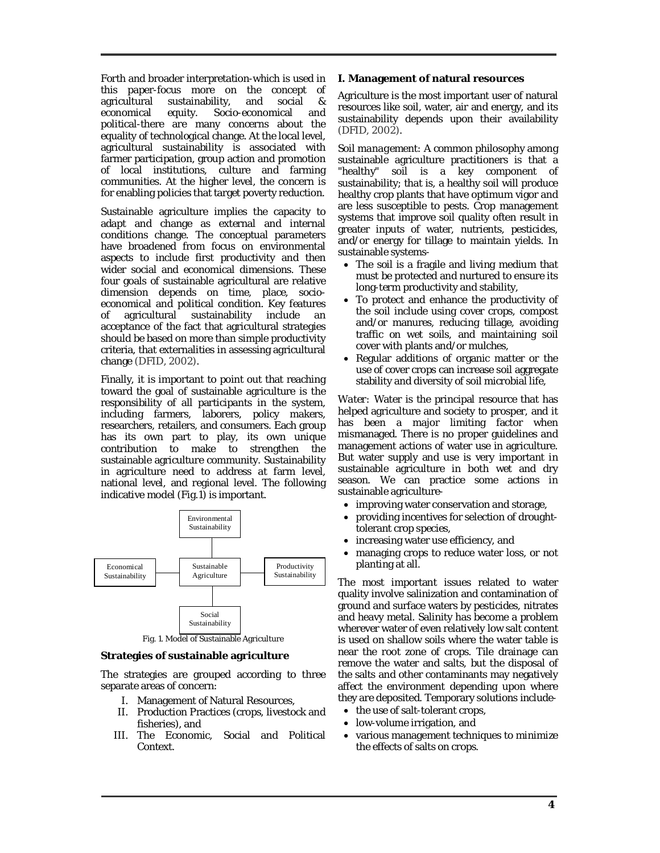Forth and broader interpretation-which is used in this paper-focus more on the concept of agricultural sustainability, and social & economical equity. Socio-economical and political-there are many concerns about the equality of technological change. At the local level, agricultural sustainability is associated with farmer participation, group action and promotion of local institutions, culture and farming communities. At the higher level, the concern is for enabling policies that target poverty reduction.

Sustainable agriculture implies the capacity to adapt and change as external and internal conditions change. The conceptual parameters have broadened from focus on environmental aspects to include first productivity and then wider social and economical dimensions. These four goals of sustainable agricultural are relative dimension depends on time, place, socioeconomical and political condition. Key features of agricultural sustainability include an acceptance of the fact that agricultural strategies should be based on more than simple productivity criteria, that externalities in assessing agricultural change (DFID, 2002).

Finally, it is important to point out that reaching toward the goal of sustainable agriculture is the responsibility of all participants in the system, including farmers, laborers, policy makers, researchers, retailers, and consumers. Each group has its own part to play, its own unique contribution to make to strengthen the sustainable agriculture community. Sustainability in agriculture need to address at farm level, national level, and regional level. The following indicative model (Fig.1) is important.



Fig. 1. Model of Sustainable Agriculture

#### **Strategies of sustainable agriculture**

The strategies are grouped according to three separate areas of concern:

- I. Management of Natural Resources,
- II. Production Practices (crops, livestock and fisheries), and
- III. The Economic, Social and Political Context.

#### **I. Management of natural resources**

Agriculture is the most important user of natural resources like soil, water, air and energy, and its sustainability depends upon their availability (DFID, 2002).

*Soil management:* A common philosophy among sustainable agriculture practitioners is that a "healthy" soil is a key component of sustainability; that is, a healthy soil will produce healthy crop plants that have optimum vigor and are less susceptible to pests. Crop management systems that improve soil quality often result in greater inputs of water, nutrients, pesticides, and/or energy for tillage to maintain yields. In sustainable systems-

- The soil is a fragile and living medium that must be protected and nurtured to ensure its long-term productivity and stability,
- To protect and enhance the productivity of the soil include using cover crops, compost and/or manures, reducing tillage, avoiding traffic on wet soils, and maintaining soil cover with plants and/or mulches,
- Regular additions of organic matter or the use of cover crops can increase soil aggregate stability and diversity of soil microbial life,

*Water:* Water is the principal resource that has helped agriculture and society to prosper, and it has been a major limiting factor when mismanaged. There is no proper guidelines and management actions of water use in agriculture. But water supply and use is very important in sustainable agriculture in both wet and dry season. We can practice some actions in sustainable agriculture-

- improving water conservation and storage,
- providing incentives for selection of droughttolerant crop species,
- increasing water use efficiency, and
- managing crops to reduce water loss, or not planting at all.

The most important issues related to water quality involve salinization and contamination of ground and surface waters by pesticides, nitrates and heavy metal. Salinity has become a problem wherever water of even relatively low salt content is used on shallow soils where the water table is near the root zone of crops. Tile drainage can remove the water and salts, but the disposal of the salts and other contaminants may negatively affect the environment depending upon where they are deposited. Temporary solutions include-

- the use of salt-tolerant crops,
- low-volume irrigation, and
- various management techniques to minimize the effects of salts on crops.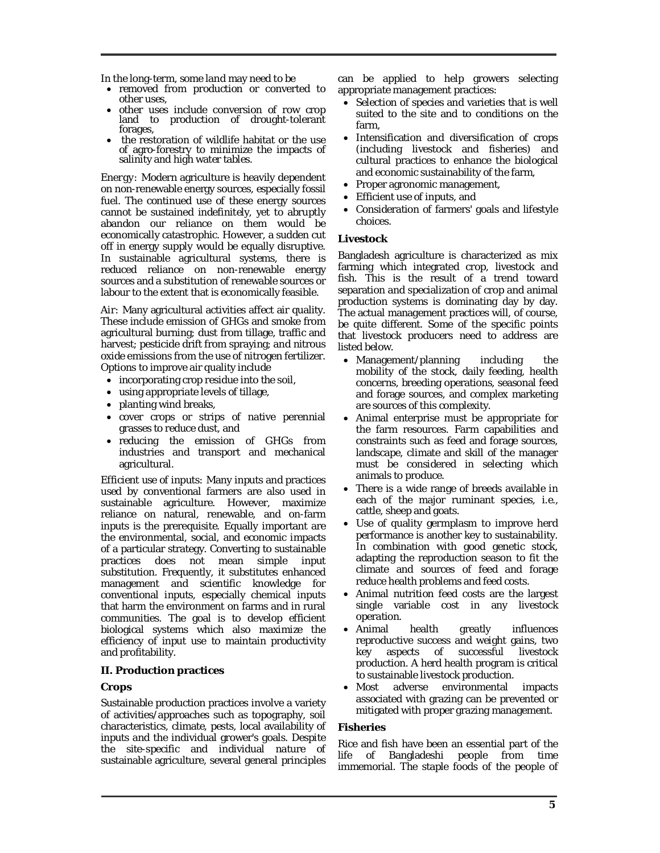In the long-term, some land may need to be

- removed from production or converted to other uses,
- other uses include conversion of row crop land to production of drought-tolerant forages,
- the restoration of wildlife habitat or the use of agro-forestry to minimize the impacts of salinity and high water tables.

*Energy:* Modern agriculture is heavily dependent on non-renewable energy sources, especially fossil fuel. The continued use of these energy sources cannot be sustained indefinitely, yet to abruptly abandon our reliance on them would be economically catastrophic. However, a sudden cut off in energy supply would be equally disruptive. In sustainable agricultural systems, there is reduced reliance on non-renewable energy sources and a substitution of renewable sources or labour to the extent that is economically feasible.

*Air:* Many agricultural activities affect air quality. These include emission of GHGs and smoke from agricultural burning; dust from tillage, traffic and harvest; pesticide drift from spraying; and nitrous oxide emissions from the use of nitrogen fertilizer. Options to improve air quality include

- $\bullet$  incorporating crop residue into the soil,
- using appropriate levels of tillage,
- planting wind breaks,
- cover crops or strips of native perennial grasses to reduce dust, and
- reducing the emission of GHGs from industries and transport and mechanical agricultural.

*Efficient use of inputs:* Many inputs and practices used by conventional farmers are also used in sustainable agriculture. However, maximize reliance on natural, renewable, and on-farm inputs is the prerequisite. Equally important are the environmental, social, and economic impacts of a particular strategy. Converting to sustainable practices does not mean simple input substitution. Frequently, it substitutes enhanced management and scientific knowledge for conventional inputs, especially chemical inputs that harm the environment on farms and in rural communities. The goal is to develop efficient biological systems which also maximize the efficiency of input use to maintain productivity and profitability.

## **II. Production practices**

## **Crops**

Sustainable production practices involve a variety of activities/approaches such as topography, soil characteristics, climate, pests, local availability of inputs and the individual grower's goals. Despite the site-specific and individual nature of sustainable agriculture, several general principles

can be applied to help growers selecting appropriate management practices:

- Selection of species and varieties that is well suited to the site and to conditions on the farm,
- Intensification and diversification of crops (including livestock and fisheries) and cultural practices to enhance the biological and economic sustainability of the farm,
- Proper agronomic management,
- Efficient use of inputs, and
- Consideration of farmers' goals and lifestyle choices.

#### **Livestock**

Bangladesh agriculture is characterized as mix farming which integrated crop, livestock and fish. This is the result of a trend toward separation and specialization of crop and animal production systems is dominating day by day. The actual management practices will, of course, be quite different. Some of the specific points that livestock producers need to address are listed below.

- Management/planning including the mobility of the stock, daily feeding, health concerns, breeding operations, seasonal feed and forage sources, and complex marketing are sources of this complexity.
- Animal enterprise must be appropriate for the farm resources. Farm capabilities and constraints such as feed and forage sources, landscape, climate and skill of the manager must be considered in selecting which animals to produce.
- There is a wide range of breeds available in each of the major ruminant species, i.e., cattle, sheep and goats.
- Use of quality germplasm to improve herd performance is another key to sustainability. In combination with good genetic stock, adapting the reproduction season to fit the climate and sources of feed and forage reduce health problems and feed costs.
- Animal nutrition feed costs are the largest single variable cost in any livestock operation.
- Animal health greatly influences reproductive success and weight gains, two key aspects of successful livestock production. A herd health program is critical to sustainable livestock production.
- Most adverse environmental impacts associated with grazing can be prevented or mitigated with proper grazing management.

## **Fisheries**

Rice and fish have been an essential part of the life of Bangladeshi people from time immemorial. The staple foods of the people of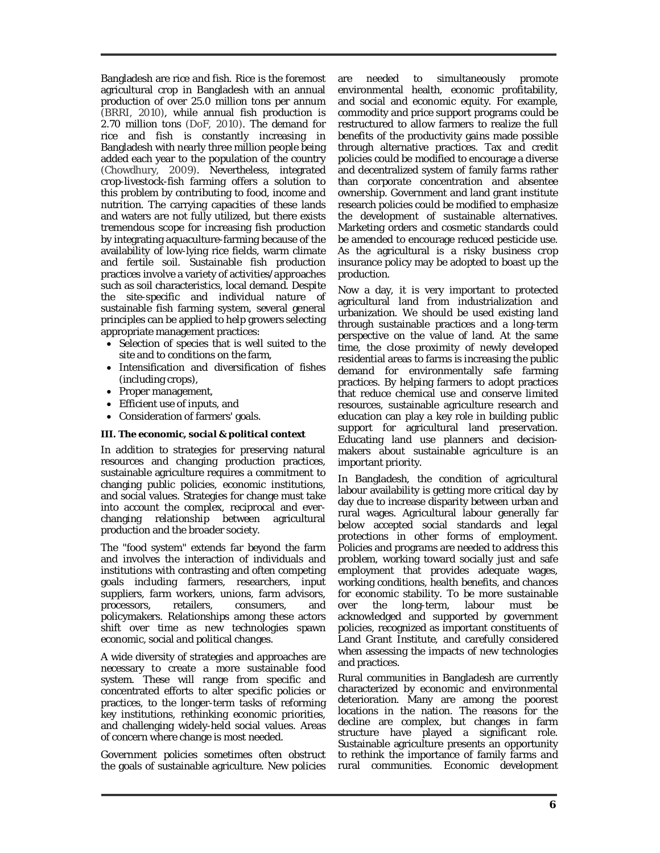Bangladesh are rice and fish. Rice is the foremost agricultural crop in Bangladesh with an annual production of over 25.0 million tons per annum (BRRI, 2010), while annual fish production is 2.70 million tons (DoF, 2010). The demand for rice and fish is constantly increasing in Bangladesh with nearly three million people being added each year to the population of the country (Chowdhury, 2009). Nevertheless, integrated crop-livestock-fish farming offers a solution to this problem by contributing to food, income and nutrition. The carrying capacities of these lands and waters are not fully utilized, but there exists tremendous scope for increasing fish production by integrating aquaculture-farming because of the availability of low-lying rice fields, warm climate and fertile soil. Sustainable fish production practices involve a variety of activities/approaches such as soil characteristics, local demand. Despite the site-specific and individual nature of sustainable fish farming system, several general principles can be applied to help growers selecting appropriate management practices:

- Selection of species that is well suited to the site and to conditions on the farm,
- Intensification and diversification of fishes (including crops),
- Proper management,
- Efficient use of inputs, and
- Consideration of farmers' goals.

## *III. The economic, social & political context*

In addition to strategies for preserving natural resources and changing production practices, sustainable agriculture requires a commitment to changing public policies, economic institutions, and social values. Strategies for change must take into account the complex, reciprocal and everchanging relationship between agricultural production and the broader society.

The "food system" extends far beyond the farm and involves the interaction of individuals and institutions with contrasting and often competing goals including farmers, researchers, input suppliers, farm workers, unions, farm advisors, processors, retailers, consumers, and policymakers. Relationships among these actors shift over time as new technologies spawn economic, social and political changes.

A wide diversity of strategies and approaches are necessary to create a more sustainable food system. These will range from specific and concentrated efforts to alter specific policies or practices, to the longer-term tasks of reforming key institutions, rethinking economic priorities, and challenging widely-held social values. Areas of concern where change is most needed.

Government policies sometimes often obstruct the goals of sustainable agriculture. New policies are needed to simultaneously promote environmental health, economic profitability, and social and economic equity. For example, commodity and price support programs could be restructured to allow farmers to realize the full benefits of the productivity gains made possible through alternative practices. Tax and credit policies could be modified to encourage a diverse and decentralized system of family farms rather than corporate concentration and absentee ownership. Government and land grant institute research policies could be modified to emphasize the development of sustainable alternatives. Marketing orders and cosmetic standards could be amended to encourage reduced pesticide use. As the agricultural is a risky business crop insurance policy may be adopted to boast up the production.

Now a day, it is very important to protected agricultural land from industrialization and urbanization. We should be used existing land through sustainable practices and a long-term perspective on the value of land. At the same time, the close proximity of newly developed residential areas to farms is increasing the public demand for environmentally safe farming practices. By helping farmers to adopt practices that reduce chemical use and conserve limited resources, sustainable agriculture research and education can play a key role in building public support for agricultural land preservation. Educating land use planners and decisionmakers about sustainable agriculture is an important priority.

In Bangladesh, the condition of agricultural labour availability is getting more critical day by day due to increase disparity between urban and rural wages. Agricultural labour generally far below accepted social standards and legal protections in other forms of employment. Policies and programs are needed to address this problem, working toward socially just and safe employment that provides adequate wages, working conditions, health benefits, and chances for economic stability. To be more sustainable over the long-term, labour must be acknowledged and supported by government policies, recognized as important constituents of Land Grant Institute, and carefully considered when assessing the impacts of new technologies and practices.

Rural communities in Bangladesh are currently characterized by economic and environmental deterioration. Many are among the poorest locations in the nation. The reasons for the decline are complex, but changes in farm structure have played a significant role. Sustainable agriculture presents an opportunity to rethink the importance of family farms and rural communities. Economic development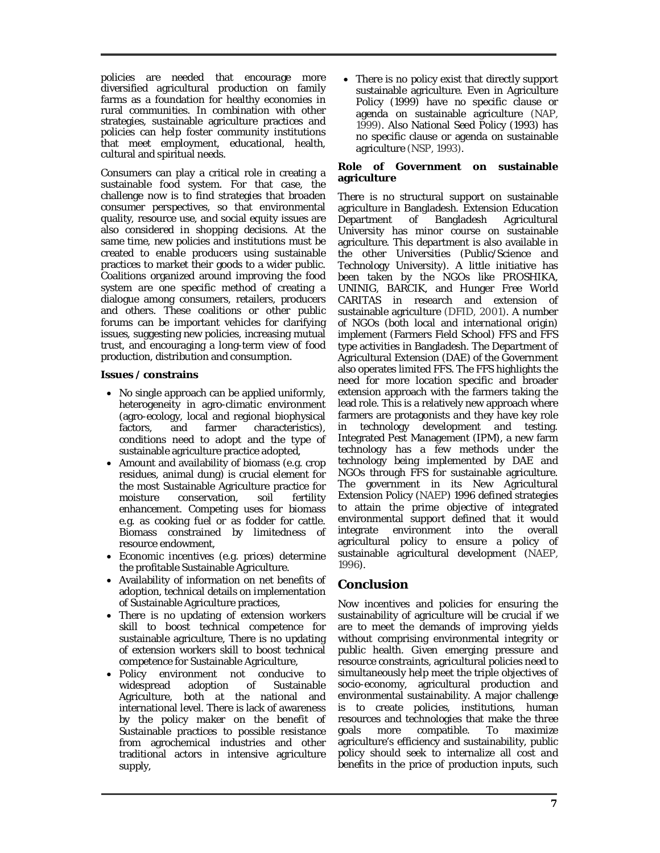policies are needed that encourage more diversified agricultural production on family farms as a foundation for healthy economies in rural communities. In combination with other strategies, sustainable agriculture practices and policies can help foster community institutions that meet employment, educational, health, cultural and spiritual needs.

Consumers can play a critical role in creating a sustainable food system. For that case, the challenge now is to find strategies that broaden consumer perspectives, so that environmental quality, resource use, and social equity issues are also considered in shopping decisions. At the same time, new policies and institutions must be created to enable producers using sustainable practices to market their goods to a wider public. Coalitions organized around improving the food system are one specific method of creating a dialogue among consumers, retailers, producers and others. These coalitions or other public forums can be important vehicles for clarifying issues, suggesting new policies, increasing mutual trust, and encouraging a long-term view of food production, distribution and consumption.

## **Issues / constrains**

- No single approach can be applied uniformly, heterogeneity in agro-climatic environment (agro-ecology, local and regional biophysical factors, and farmer characteristics), conditions need to adopt and the type of sustainable agriculture practice adopted,
- Amount and availability of biomass (e.g. crop residues, animal dung) is crucial element for the most Sustainable Agriculture practice for<br>moisture conservation, soil fertility moisture conservation, soil fertility enhancement. Competing uses for biomass e.g. as cooking fuel or as fodder for cattle. Biomass constrained by limitedness of resource endowment,
- Economic incentives (e.g. prices) determine the profitable Sustainable Agriculture.
- Availability of information on net benefits of adoption, technical details on implementation of Sustainable Agriculture practices,
- There is no updating of extension workers skill to boost technical competence for sustainable agriculture, There is no updating of extension workers skill to boost technical competence for Sustainable Agriculture,
- Policy environment not conducive to widespread adoption of Sustainable Agriculture, both at the national and international level. There is lack of awareness by the policy maker on the benefit of Sustainable practices to possible resistance from agrochemical industries and other traditional actors in intensive agriculture supply,

• There is no policy exist that directly support sustainable agriculture. Even in Agriculture Policy (1999) have no specific clause or agenda on sustainable agriculture (NAP, 1999). Also National Seed Policy (1993) has no specific clause or agenda on sustainable agriculture (NSP, 1993).

## **Role of Government on sustainable agriculture**

There is no structural support on sustainable agriculture in Bangladesh. Extension Education Department of Bangladesh Agricultural University has minor course on sustainable agriculture. This department is also available in the other Universities (Public/Science and Technology University). A little initiative has been taken by the NGOs like PROSHIKA, UNINIG, BARCIK, and Hunger Free World CARITAS in research and extension of sustainable agriculture (DFID, 2001). A number of NGOs (both local and international origin) implement (Farmers Field School) FFS and FFS type activities in Bangladesh. The Department of Agricultural Extension (DAE) of the Government also operates limited FFS. The FFS highlights the need for more location specific and broader extension approach with the farmers taking the lead role. This is a relatively new approach where farmers are protagonists and they have key role<br>in technology development and testing. development and testing. Integrated Pest Management (IPM), a new farm technology has a few methods under the technology being implemented by DAE and NGOs through FFS for sustainable agriculture. The government in its New Agricultural Extension Policy (NAEP) 1996 defined strategies to attain the prime objective of integrated environmental support defined that it would integrate environment into the overall agricultural policy to ensure a policy of sustainable agricultural development (NAEP, 1996).

# **Conclusion**

Now incentives and policies for ensuring the sustainability of agriculture will be crucial if we are to meet the demands of improving yields without comprising environmental integrity or public health. Given emerging pressure and resource constraints, agricultural policies need to simultaneously help meet the triple objectives of socio-economy, agricultural production and environmental sustainability. A major challenge is to create policies, institutions, human resources and technologies that make the three goals more compatible. To maximize agriculture's efficiency and sustainability, public policy should seek to internalize all cost and benefits in the price of production inputs, such